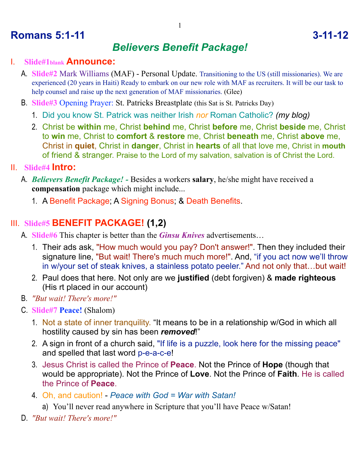## **Romans 5:1-11** 3-11-12

# *Believers Benefit Package!*

#### I. **Slide#1blank Announce:**

- A. **Slide#2** Mark Williams (MAF) Personal Update. Transitioning to the US (still missionaries). We are experienced (20 years in Haiti) Ready to embark on our new role with MAF as recruiters. It will be our task to help counsel and raise up the next generation of MAF missionaries. (Glee)
- B. **Slide#3** Opening Prayer: St. Patricks Breastplate (this Sat is St. Patricks Day)
	- 1. Did you know St. Patrick was neither Irish *nor* Roman Catholic? *(my blog)*
	- 2. Christ be **within** me, Christ **behind** me, Christ **before** me, Christ **beside** me, Christ to **win** me, Christ to **comfort** & **restore** me, Christ **beneath** me, Christ **above** me, Christ in **quiet**, Christ in **danger**, Christ in **hearts** of all that love me, Christ in **mouth** of friend & stranger. Praise to the Lord of my salvation, salvation is of Christ the Lord.

#### II. **Slide#4 Intro:**

- A. *Believers Benefit Package!* Besides a workers **salary**, he/she might have received a **compensation** package which might include...
	- 1. A Benefit Package; A Signing Bonus; & Death Benefits.

### III. **Slide#5 BENEFIT PACKAGE! (1,2)**

- A. **Slide#6** This chapter is better than the *Ginsu Knives* advertisements…
	- 1. Their ads ask, "How much would you pay? Don't answer!". Then they included their signature line, "But wait! There's much much more!". And, "if you act now we'll throw in w/your set of steak knives, a stainless potato peeler." And not only that…but wait!
	- 2. Paul does that here. Not only are we **justified** (debt forgiven) & **made righteous** (His rt placed in our account)
- B. *"But wait! There's more!"*
- C. **Slide#7 Peace!** (Shalom)
	- 1. Not a state of inner tranquility. "It means to be in a relationship w/God in which all hostility caused by sin has been *removed*!"
	- 2. A sign in front of a church said, "If life is a puzzle, look here for the missing peace" and spelled that last word p-e-a-c-e!
	- 3. Jesus Christ is called the Prince of **Peace**. Not the Prince of **Hope** (though that would be appropriate). Not the Prince of **Love**. Not the Prince of **Faith**. He is called the Prince of **Peace**.
	- 4. Oh, and caution! *Peace with God = War with Satan!*
		- a) You'll never read anywhere in Scripture that you'll have Peace w/Satan!
- D. *"But wait! There's more!"*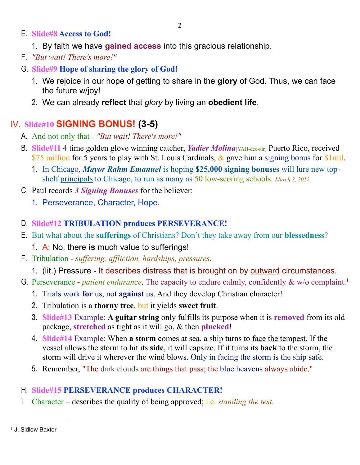- E. **Slide#8 Access to God!**
	- 1. By faith we have **gained access** into this gracious relationship.
- F. *"But wait! There's more!"*
- G. **Slide#9 Hope of sharing the glory of God!**
	- 1. We rejoice in our hope of getting to share in the **glory** of God. Thus, we can face the future w/joy!
	- 2. We can already **reflect** that *glory* by living an **obedient life**.

## IV. **Slide#10 SIGNING BONUS! (3-5)**

- A. And not only that *"But wait! There's more!"*
- B. **Slide#11** 4 time golden glove winning catcher, *Yadier Molina*[YAH-dee-air] Puerto Rico, received \$75 million for 5 years to play with St. Louis Cardinals,  $\&$  gave him a signing bonus for \$1mil.
	- 1. In Chicago, *Mayor Rahm Emanuel* is hoping **\$25,000 signing bonuses** will lure new topshelf principals to Chicago, to run as many as 50 low-scoring schools. *March 3, 2012*
- C. Paul records *3 Signing Bonuses* for the believer:
	- 1. Perseverance, Character, Hope.
- D. **Slide#12 TRIBULATION produces PERSEVERANCE!**
- E. But what about the **sufferings** of Christians? Don't they take away from our **blessedness**?
	- 1. A: No, there **is** much value to sufferings!
- F. Tribulation *suffering, affliction, hardships, pressures.*
	- 1. (lit.) Pressure It describes distress that is brought on by outward circumstances.
- G. Perseverance *patient endurance*. The capacity to endure calmly, confidently & w/o complaint.[1](#page-1-0)
	- 1. Trials work **for** us, not **against** us. And they develop Christian character!
	- 2. Tribulation is a **thorny tree**, but it yields **sweet fruit**.
	- 3. **Slide#13** Example: **A guitar string** only fulfills its purpose when it is **removed** from its old package, **stretched** as tight as it will go, & then **plucked**!
	- 4. **Slide#14** Example: When **a storm** comes at sea, a ship turns to face the tempest. If the vessel allows the storm to hit its **side**, it will capsize. If it turns its **back** to the storm, the storm will drive it wherever the wind blows. Only in facing the storm is the ship safe.
	- 5. Remember, "The dark clouds are things that pass; the blue heavens always abide."

### H. **Slide#15 PERSEVERANCE produces CHARACTER!**

I. Character – describes the quality of being approved; i.e. *standing the test*.

<span id="page-1-0"></span><sup>1</sup> J. Sidlow Baxter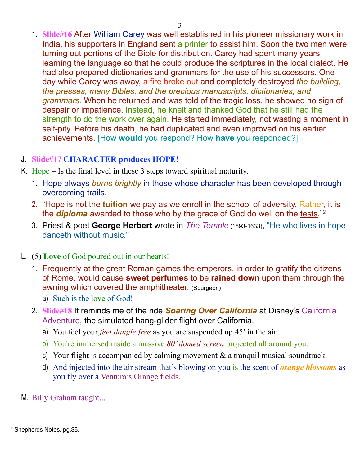1. **Slide#16** After William Carey was well established in his pioneer missionary work in India, his supporters in England sent a printer to assist him. Soon the two men were turning out portions of the Bible for distribution. Carey had spent many years learning the language so that he could produce the scriptures in the local dialect. He had also prepared dictionaries and grammars for the use of his successors. One day while Carey was away, a fire broke out and completely destroyed *the building, the presses, many Bibles, and the precious manuscripts, dictionaries, and grammars.* When he returned and was told of the tragic loss, he showed no sign of despair or impatience. Instead, he knelt and thanked God that he still had the strength to do the work over again. He started immediately, not wasting a moment in self-pity. Before his death, he had duplicated and even improved on his earlier achievements. [How **would** you respond? How **have** you responded?]

#### J. **Slide#17 CHARACTER produces HOPE!**

- K. Hope Is the final level in these 3 steps toward spiritual maturity.
	- 1. Hope always *burns brightly* in those whose character has been developed through overcoming trails.
	- 2. "Hope is not the **tuition** we pay as we enroll in the school of adversity. Rather, it is the *diploma* awarded to those who by the grace of God do well on the tests."<sup>2</sup>
	- 3. Priest & poet **George Herbert** wrote in *The Temple* (1593-1633), "He who lives in hope danceth without music."
- L. (5) **Love** of God poured out in our hearts!
	- 1. Frequently at the great Roman games the emperors, in order to gratify the citizens of Rome, would cause **sweet perfumes** to be **rained down** upon them through the awning which covered the amphitheater. (Spurgeon)
		- a) Such is the love of God!
	- 2. **Slide#18** It reminds me of the ride *Soaring Over California* at Disney's California Adventure, the simulated hang-glider flight over California.
		- a) You feel your *feet dangle free* as you are suspended up 45' in the air.
		- b) You're immersed inside a massive *80' domed screen* projected all around you.
		- c) Your flight is accompanied by calming movement & a tranquil musical soundtrack.
		- d) And injected into the air stream that's blowing on you is the scent of *orange blossoms* as you fly over a Ventura's Orange fields.
- M. Billy Graham taught...

<span id="page-2-0"></span><sup>2</sup> Shepherds Notes, pg.35.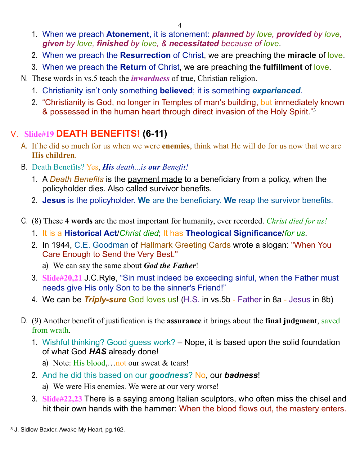- 1. When we preach **Atonement**, it is atonement: *planned by love, provided by love, given by love, finished by love, & necessitated because of love*.
- 2. When we preach the **Resurrection** of Christ, we are preaching the **miracle** of love.
- 3. When we preach the **Return** of Christ, we are preaching the **fulfillment** of love.
- N. These words in vs.5 teach the *inwardness* of true, Christian religion.
	- 1. Christianity isn't only something **believed**; it is something *experienced*.
	- 2. "Christianity is God, no longer in Temples of man's building, but immediately known & possessed in the human heart through direct invasion of the Holy Spirit."[3](#page-3-0)

### V. **Slide#19 DEATH BENEFITS! (6-11)**

- A. If he did so much for us when we were **enemies**, think what He will do for us now that we are **His children**.
- B. Death Benefits? Yes, *His death...is our Benefit!*
	- 1. A *Death Benefits* is the payment made to a beneficiary from a policy, when the policyholder dies. Also called survivor benefits.
	- 2. **Jesus** is the policyholder. **We** are the beneficiary. **We** reap the survivor benefits.
- C. (8) These **4 words** are the most important for humanity, ever recorded. *Christ died for us!*
	- 1. It is a **Historical Act**/*Christ died*; It has **Theological Significance**/*for us*.
	- 2. In 1944, C.E. Goodman of Hallmark Greeting Cards wrote a slogan: "When You Care Enough to Send the Very Best."
		- a) We can say the same about *God the Father*!
	- 3. **Slide#20,21** J.C.Ryle, "Sin must indeed be exceeding sinful, when the Father must needs give His only Son to be the sinner's Friend!"
	- 4. We can be *Triply-sure* God loves us! (H.S. in vs.5b Father in 8a Jesus in 8b)
- D. (9) Another benefit of justification is the **assurance** it brings about the **final judgment**, saved from wrath.
	- 1. Wishful thinking? Good guess work? Nope, it is based upon the solid foundation of what God *HAS* already done!
		- a) Note: His blood,...not our sweat & tears!
	- 2. And he did this based on our *goodness*? No, our *badness*!
		- a) We were His enemies. We were at our very worse!
	- 3. **Slide#22,23** There is a saying among Italian sculptors, who often miss the chisel and hit their own hands with the hammer: When the blood flows out, the mastery enters.

<span id="page-3-0"></span><sup>3</sup> J. Sidlow Baxter. Awake My Heart, pg.162.